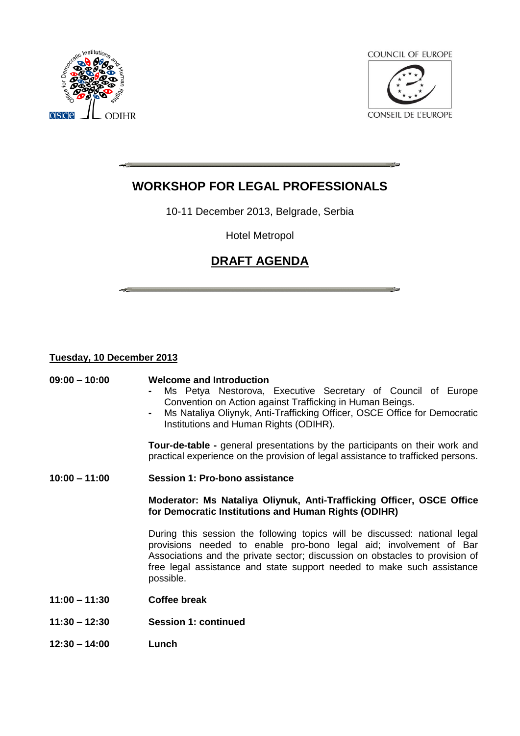

**COUNCIL OF EUROPE** 

**CONSEIL DE L'EUROPE** 

# **WORKSHOP FOR LEGAL PROFESSIONALS**

10-11 December 2013, Belgrade, Serbia

Hotel Metropol

# **DRAFT AGENDA**

## **Tuesday, 10 December 2013**

## **09:00 – 10:00 Welcome and Introduction**

- **-** Ms Petya Nestorova, Executive Secretary of Council of Europe Convention on Action against Trafficking in Human Beings.
- **-** Ms Nataliya Oliynyk, Anti-Trafficking Officer, OSCE Office for Democratic Institutions and Human Rights (ODIHR).

**Tour-de-table -** general presentations by the participants on their work and practical experience on the provision of legal assistance to trafficked persons.

**10:00 – 11:00 Session 1: Pro-bono assistance**

**Moderator: Ms Nataliya Oliynuk, Anti-Trafficking Officer, OSCE Office for Democratic Institutions and Human Rights (ODIHR)**

During this session the following topics will be discussed: national legal provisions needed to enable pro-bono legal aid; involvement of Bar Associations and the private sector; discussion on obstacles to provision of free legal assistance and state support needed to make such assistance possible.

- **11:00 – 11:30 Coffee break**
- **11:30 – 12:30 Session 1: continued**
- **12:30 – 14:00 Lunch**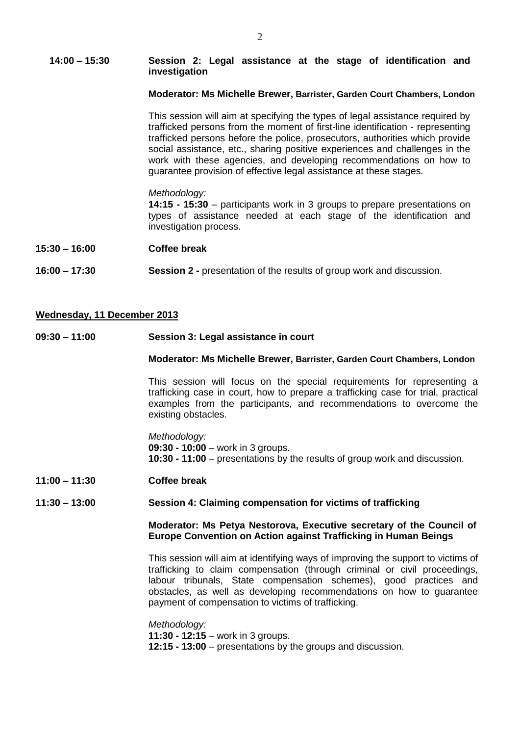#### **14:00 – 15:30 Session 2: Legal assistance at the stage of identification and investigation**

#### **Moderator: Ms Michelle Brewer, Barrister, Garden Court Chambers, London**

This session will aim at specifying the types of legal assistance required by trafficked persons from the moment of first-line identification - representing trafficked persons before the police, prosecutors, authorities which provide social assistance, etc., sharing positive experiences and challenges in the work with these agencies, and developing recommendations on how to guarantee provision of effective legal assistance at these stages.

#### *Methodology:*

**14:15 - 15:30** – participants work in 3 groups to prepare presentations on types of assistance needed at each stage of the identification and investigation process.

- **15:30 – 16:00 Coffee break**
- **16:00 – 17:30 Session 2 -** presentation of the results of group work and discussion.

### **Wednesday, 11 December 2013**

**09:30 – 11:00 Session 3: Legal assistance in court** 

#### **Moderator: Ms Michelle Brewer, Barrister, Garden Court Chambers, London**

This session will focus on the special requirements for representing a trafficking case in court, how to prepare a trafficking case for trial, practical examples from the participants, and recommendations to overcome the existing obstacles.

*Methodology:* **09:30 - 10:00** – work in 3 groups. **10:30 - 11:00** – presentations by the results of group work and discussion.

**11:00 – 11:30 Coffee break**

### **11:30 – 13:00 Session 4: Claiming compensation for victims of trafficking**

### **Moderator: Ms Petya Nestorova, Executive secretary of the Council of Europe Convention on Action against Trafficking in Human Beings**

This session will aim at identifying ways of improving the support to victims of trafficking to claim compensation (through criminal or civil proceedings, labour tribunals, State compensation schemes), good practices and obstacles, as well as developing recommendations on how to guarantee payment of compensation to victims of trafficking.

#### *Methodology:*

**11:30 - 12:15** – work in 3 groups.

**12:15 - 13:00** – presentations by the groups and discussion.